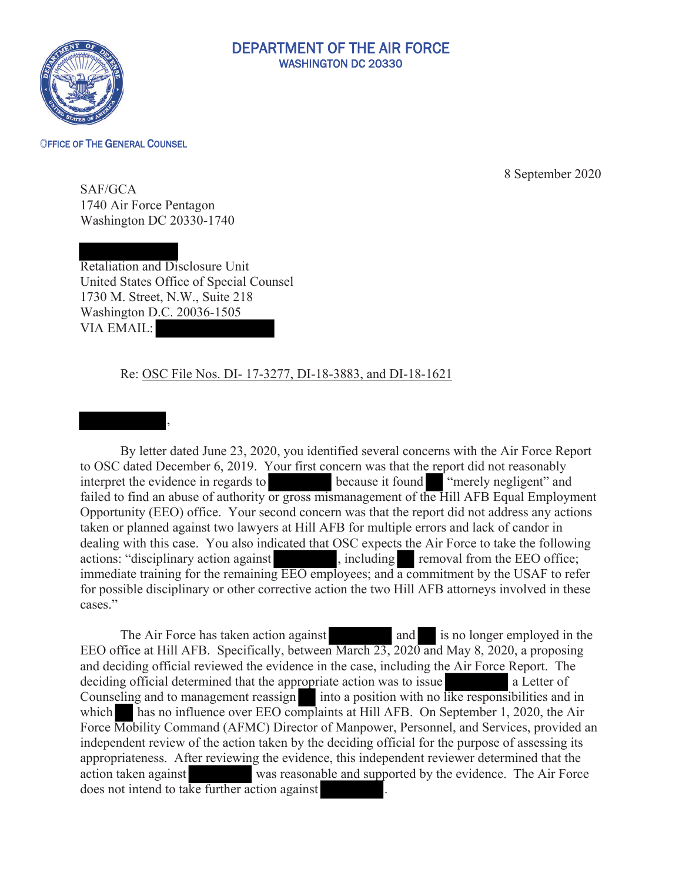

## DEPARTMENT OF THE AIR FORCE WASHINGTON DC 20330

## OFFICE OF THE GENERAL COUNSEL

September 2020

SAF/GCA 1740 Air Force Pentagon Washington DC 20330-1740

Retaliation and Disclosure Unit United States Office of Special Counsel 1730 M. Street, N.W., Suite 218 Washington D.C. 20036-1505 VIA EMAIL:

## Re: OSC File Nos. DI- 17-3277, DI-18-3883, and DI-18-1621



By letter dated June 23, 2020, you identified several concerns with the Air Force Report to OSC dated December 6, 2019. Your first concern was that the report did not reasonably interpret the evidence in regards to because it found "merely negligent" and failed to find an abuse of authority or gross mismanagement of the Hill AFB Equal Employment Opportunity (EEO) office. Your second concern was that the report did not address any actions taken or planned against two lawyers at Hill AFB for multiple errors and lack of candor in dealing with this case. You also indicated that OSC expects the Air Force to take the following actions: "disciplinary action against , including removal from the EEO office; immediate training for the remaining EEO employees; and a commitment by the USAF to refer for possible disciplinary or other corrective action the two Hill AFB attorneys involved in these cases."

The Air Force has taken action against and is no longer employed in the EEO office at Hill AFB. Specifically, between March 23, 2020 and May 8, 2020, a proposing and deciding official reviewed the evidence in the case, including the Air Force Report. The deciding official determined that the appropriate action was to issue a Letter of Counseling and to management reassign into a position with no like responsibilities and in which has no influence over EEO complaints at Hill AFB. On September 1, 2020, the Air Force Mobility Command (AFMC) Director of Manpower, Personnel, and Services, provided an independent review of the action taken by the deciding official for the purpose of assessing its appropriateness. After reviewing the evidence, this independent reviewer determined that the action taken against was reasonable and supported by the evidence. The Air Force does not intend to take further action against